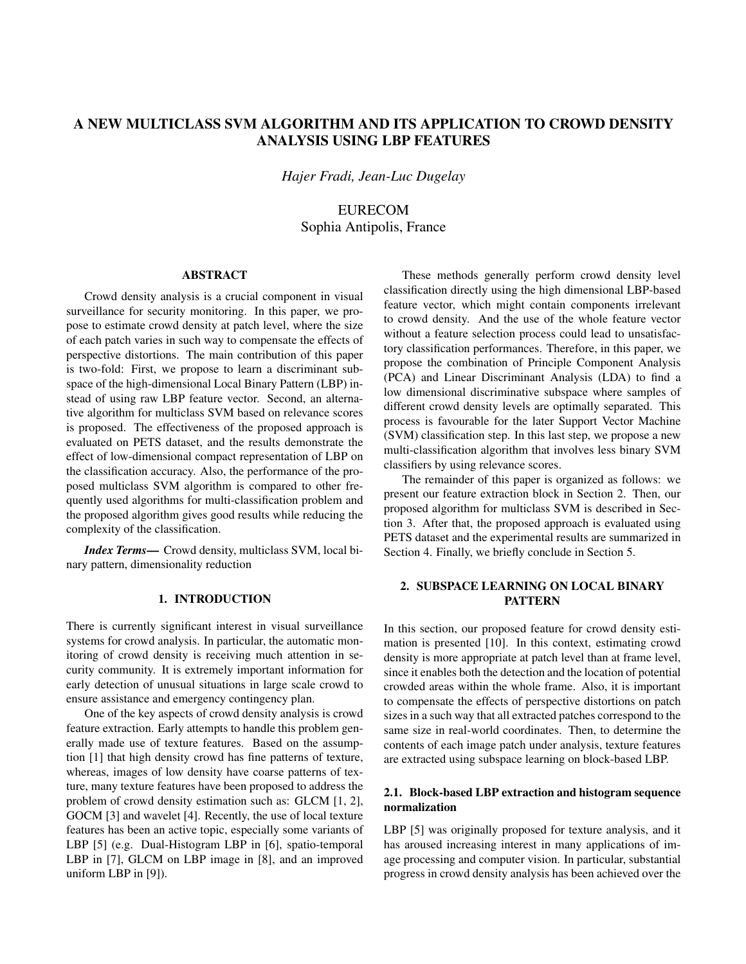# A NEW MULTICLASS SVM ALGORITHM AND ITS APPLICATION TO CROWD DENSITY ANALYSIS USING LBP FEATURES

*Hajer Fradi, Jean-Luc Dugelay*

**EURECOM** Sophia Antipolis, France

# ABSTRACT

Crowd density analysis is a crucial component in visual surveillance for security monitoring. In this paper, we propose to estimate crowd density at patch level, where the size of each patch varies in such way to compensate the effects of perspective distortions. The main contribution of this paper is two-fold: First, we propose to learn a discriminant subspace of the high-dimensional Local Binary Pattern (LBP) instead of using raw LBP feature vector. Second, an alternative algorithm for multiclass SVM based on relevance scores is proposed. The effectiveness of the proposed approach is evaluated on PETS dataset, and the results demonstrate the effect of low-dimensional compact representation of LBP on the classification accuracy. Also, the performance of the proposed multiclass SVM algorithm is compared to other frequently used algorithms for multi-classification problem and the proposed algorithm gives good results while reducing the complexity of the classification.

*Index Terms*— Crowd density, multiclass SVM, local binary pattern, dimensionality reduction

## 1. INTRODUCTION

There is currently significant interest in visual surveillance systems for crowd analysis. In particular, the automatic monitoring of crowd density is receiving much attention in security community. It is extremely important information for early detection of unusual situations in large scale crowd to ensure assistance and emergency contingency plan.

One of the key aspects of crowd density analysis is crowd feature extraction. Early attempts to handle this problem generally made use of texture features. Based on the assumption [1] that high density crowd has fine patterns of texture, whereas, images of low density have coarse patterns of texture, many texture features have been proposed to address the problem of crowd density estimation such as: GLCM [1, 2], GOCM [3] and wavelet [4]. Recently, the use of local texture features has been an active topic, especially some variants of LBP [5] (e.g. Dual-Histogram LBP in [6], spatio-temporal LBP in [7], GLCM on LBP image in [8], and an improved uniform LBP in [9]).

These methods generally perform crowd density level classification directly using the high dimensional LBP-based feature vector, which might contain components irrelevant to crowd density. And the use of the whole feature vector without a feature selection process could lead to unsatisfactory classification performances. Therefore, in this paper, we propose the combination of Principle Component Analysis (PCA) and Linear Discriminant Analysis (LDA) to find a low dimensional discriminative subspace where samples of different crowd density levels are optimally separated. This process is favourable for the later Support Vector Machine (SVM) classification step. In this last step, we propose a new multi-classification algorithm that involves less binary SVM classifiers by using relevance scores.

The remainder of this paper is organized as follows: we present our feature extraction block in Section 2. Then, our proposed algorithm for multiclass SVM is described in Section 3. After that, the proposed approach is evaluated using PETS dataset and the experimental results are summarized in Section 4. Finally, we briefly conclude in Section 5.

## 2. SUBSPACE LEARNING ON LOCAL BINARY **PATTERN**

In this section, our proposed feature for crowd density estimation is presented [10]. In this context, estimating crowd density is more appropriate at patch level than at frame level, since it enables both the detection and the location of potential crowded areas within the whole frame. Also, it is important to compensate the effects of perspective distortions on patch sizes in a such way that all extracted patches correspond to the same size in real-world coordinates. Then, to determine the contents of each image patch under analysis, texture features are extracted using subspace learning on block-based LBP.

# 2.1. Block-based LBP extraction and histogram sequence normalization

LBP [5] was originally proposed for texture analysis, and it has aroused increasing interest in many applications of image processing and computer vision. In particular, substantial progress in crowd density analysis has been achieved over the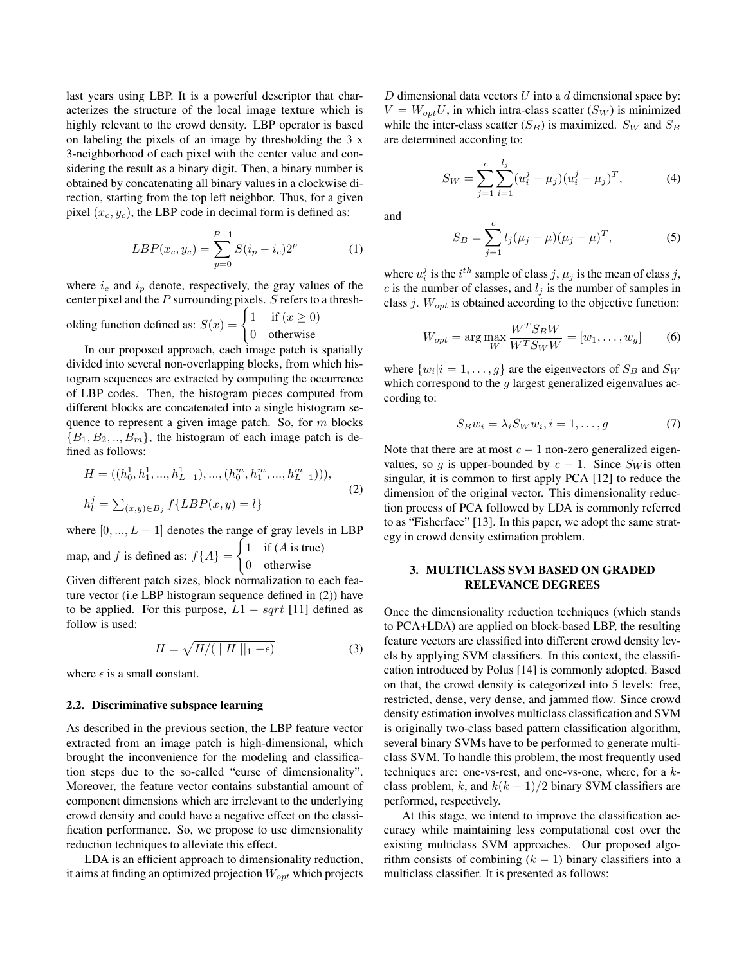last years using LBP. It is a powerful descriptor that characterizes the structure of the local image texture which is highly relevant to the crowd density. LBP operator is based on labeling the pixels of an image by thresholding the 3 x 3-neighborhood of each pixel with the center value and considering the result as a binary digit. Then, a binary number is obtained by concatenating all binary values in a clockwise direction, starting from the top left neighbor. Thus, for a given pixel  $(x_c, y_c)$ , the LBP code in decimal form is defined as:

$$
LBP(x_c, y_c) = \sum_{p=0}^{P-1} S(i_p - i_c) 2^p
$$
 (1)

where  $i_c$  and  $i_p$  denote, respectively, the gray values of the center pixel and the  $P$  surrounding pixels.  $S$  refers to a thresh-

olding function defined as:  $S(x) = \begin{cases} 1 & \text{if } (x \ge 0) \\ 0 & \text{otherwise} \end{cases}$ 0 otherwise

In our proposed approach, each image patch is spatially divided into several non-overlapping blocks, from which histogram sequences are extracted by computing the occurrence of LBP codes. Then, the histogram pieces computed from different blocks are concatenated into a single histogram sequence to represent a given image patch. So, for  $m$  blocks  ${B_1, B_2, ..., B_m}$ , the histogram of each image patch is defined as follows:

$$
H = ((h_0^1, h_1^1, ..., h_{L-1}^1), ..., (h_0^m, h_1^m, ..., h_{L-1}^m))),
$$
  
\n
$$
h_l^j = \sum_{(x,y) \in B_j} f\{LBP(x,y) = l\}
$$
\n(2)

where  $[0, ..., L - 1]$  denotes the range of gray levels in LBP map, and f is defined as:  $f{A}$  =  $\int 1$  if (*A* is true) 0 otherwise

Given different patch sizes, block normalization to each feature vector (i.e LBP histogram sequence defined in (2)) have to be applied. For this purpose,  $L1 - sqrt$  [11] defined as follow is used:

$$
H = \sqrt{H/(\parallel H \parallel_1 + \epsilon)}\tag{3}
$$

where  $\epsilon$  is a small constant.

#### 2.2. Discriminative subspace learning

As described in the previous section, the LBP feature vector extracted from an image patch is high-dimensional, which brought the inconvenience for the modeling and classification steps due to the so-called "curse of dimensionality". Moreover, the feature vector contains substantial amount of component dimensions which are irrelevant to the underlying crowd density and could have a negative effect on the classification performance. So, we propose to use dimensionality reduction techniques to alleviate this effect.

LDA is an efficient approach to dimensionality reduction, it aims at finding an optimized projection  $W_{opt}$  which projects D dimensional data vectors  $U$  into a  $d$  dimensional space by:  $V = W_{opt}U$ , in which intra-class scatter  $(S_W)$  is minimized while the inter-class scatter  $(S_B)$  is maximized.  $S_W$  and  $S_B$ are determined according to:

$$
S_W = \sum_{j=1}^{c} \sum_{i=1}^{l_j} (u_i^j - \mu_j)(u_i^j - \mu_j)^T, \tag{4}
$$

and

$$
S_B = \sum_{j=1}^{c} l_j (\mu_j - \mu) (\mu_j - \mu)^T,
$$
 (5)

where  $u_i^j$  is the  $i^{th}$  sample of class j,  $\mu_j$  is the mean of class j, c is the number of classes, and  $l_i$  is the number of samples in class  $j$ .  $W_{opt}$  is obtained according to the objective function:

$$
W_{opt} = \arg\max_{W} \frac{W^T S_B W}{W^T S_W W} = [w_1, \dots, w_g]
$$
 (6)

where  $\{w_i|i=1,\ldots,g\}$  are the eigenvectors of  $S_B$  and  $S_W$ which correspond to the  $q$  largest generalized eigenvalues according to:

$$
S_B w_i = \lambda_i S_W w_i, i = 1, \dots, g \tag{7}
$$

Note that there are at most  $c - 1$  non-zero generalized eigenvalues, so g is upper-bounded by  $c - 1$ . Since  $S_W$  is often singular, it is common to first apply PCA [12] to reduce the dimension of the original vector. This dimensionality reduction process of PCA followed by LDA is commonly referred to as "Fisherface" [13]. In this paper, we adopt the same strategy in crowd density estimation problem.

## 3. MULTICLASS SVM BASED ON GRADED RELEVANCE DEGREES

Once the dimensionality reduction techniques (which stands to PCA+LDA) are applied on block-based LBP, the resulting feature vectors are classified into different crowd density levels by applying SVM classifiers. In this context, the classification introduced by Polus [14] is commonly adopted. Based on that, the crowd density is categorized into 5 levels: free, restricted, dense, very dense, and jammed flow. Since crowd density estimation involves multiclass classification and SVM is originally two-class based pattern classification algorithm, several binary SVMs have to be performed to generate multiclass SVM. To handle this problem, the most frequently used techniques are: one-vs-rest, and one-vs-one, where, for a kclass problem, k, and  $k(k-1)/2$  binary SVM classifiers are performed, respectively.

At this stage, we intend to improve the classification accuracy while maintaining less computational cost over the existing multiclass SVM approaches. Our proposed algorithm consists of combining  $(k - 1)$  binary classifiers into a multiclass classifier. It is presented as follows: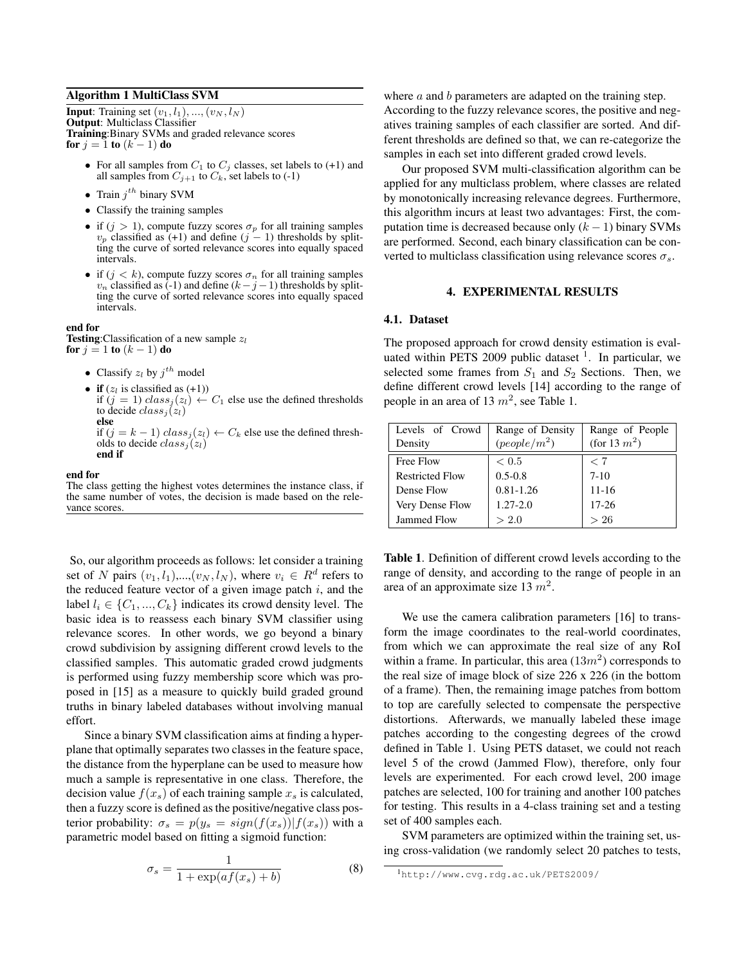### Algorithm 1 MultiClass SVM

**Input:** Training set  $(v_1, l_1), ..., (v_N, l_N)$ Output: Multiclass Classifier Training:Binary SVMs and graded relevance scores for  $j = 1$  to  $(k - 1)$  do

- For all samples from  $C_1$  to  $C_j$  classes, set labels to (+1) and all samples from  $C_{j+1}$  to  $C_k$ , set labels to (-1)
- Train  $j^{th}$  binary SVM
- Classify the training samples
- if  $(j > 1)$ , compute fuzzy scores  $\sigma_p$  for all training samples  $v_p$  classified as (+1) and define (j – 1) thresholds by splitting the curve of sorted relevance scores into equally spaced intervals.
- if  $(j < k)$ , compute fuzzy scores  $\sigma_n$  for all training samples  $v_n$  classified as (-1) and define  $(k-j-1)$  thresholds by splitting the curve of sorted relevance scores into equally spaced intervals.

#### end for

**Testing:**Classification of a new sample  $z_l$ for  $j = 1$  to  $(k - 1)$  do

- Classify  $z_l$  by  $j^{th}$  model
- if  $(z_l$  is classified as  $(+1)$ ) if  $(j = 1)$   $class_j(z_l) \leftarrow C_1$  else use the defined thresholds to decide  $class_i(z_l)$ else

if (j = k − 1)  $class_j(z_l)$  ←  $C_k$  else use the defined thresholds to decide  $class_j(z_l)$ end if

end for

The class getting the highest votes determines the instance class, if the same number of votes, the decision is made based on the relevance scores

So, our algorithm proceeds as follows: let consider a training set of N pairs  $(v_1, l_1)$ ,..., $(v_N, l_N)$ , where  $v_i \in R^d$  refers to the reduced feature vector of a given image patch  $i$ , and the label  $l_i \in \{C_1, ..., C_k\}$  indicates its crowd density level. The basic idea is to reassess each binary SVM classifier using relevance scores. In other words, we go beyond a binary crowd subdivision by assigning different crowd levels to the classified samples. This automatic graded crowd judgments is performed using fuzzy membership score which was proposed in [15] as a measure to quickly build graded ground truths in binary labeled databases without involving manual effort.

Since a binary SVM classification aims at finding a hyperplane that optimally separates two classes in the feature space, the distance from the hyperplane can be used to measure how much a sample is representative in one class. Therefore, the decision value  $f(x_s)$  of each training sample  $x_s$  is calculated, then a fuzzy score is defined as the positive/negative class posterior probability:  $\sigma_s = p(y_s = sign(f(x_s)) | f(x_s))$  with a parametric model based on fitting a sigmoid function:

$$
\sigma_s = \frac{1}{1 + \exp(af(x_s) + b)}\tag{8}
$$

where  $a$  and  $b$  parameters are adapted on the training step. According to the fuzzy relevance scores, the positive and negatives training samples of each classifier are sorted. And different thresholds are defined so that, we can re-categorize the samples in each set into different graded crowd levels.

Our proposed SVM multi-classification algorithm can be applied for any multiclass problem, where classes are related by monotonically increasing relevance degrees. Furthermore, this algorithm incurs at least two advantages: First, the computation time is decreased because only  $(k - 1)$  binary SVMs are performed. Second, each binary classification can be converted to multiclass classification using relevance scores  $\sigma_s$ .

#### 4. EXPERIMENTAL RESULTS

#### 4.1. Dataset

The proposed approach for crowd density estimation is evaluated within PETS 2009 public dataset  $1$ . In particular, we selected some frames from  $S_1$  and  $S_2$  Sections. Then, we define different crowd levels [14] according to the range of people in an area of 13  $m^2$ , see Table 1.

| Levels of Crowd        | Range of Density | Range of People |  |
|------------------------|------------------|-----------------|--|
| Density                | $(people/m^2)$   | (for 13 $m^2$ ) |  |
| Free Flow              | < 0.5            | < 7             |  |
| <b>Restricted Flow</b> | $0.5 - 0.8$      | $7 - 10$        |  |
| Dense Flow             | $0.81 - 1.26$    | $11 - 16$       |  |
| Very Dense Flow        | $1.27 - 2.0$     | $17 - 26$       |  |
| <b>Jammed Flow</b>     | > 2.0            | >26             |  |

Table 1. Definition of different crowd levels according to the range of density, and according to the range of people in an area of an approximate size 13  $m^2$ .

We use the camera calibration parameters [16] to transform the image coordinates to the real-world coordinates, from which we can approximate the real size of any RoI within a frame. In particular, this area  $(13m^2)$  corresponds to the real size of image block of size 226 x 226 (in the bottom of a frame). Then, the remaining image patches from bottom to top are carefully selected to compensate the perspective distortions. Afterwards, we manually labeled these image patches according to the congesting degrees of the crowd defined in Table 1. Using PETS dataset, we could not reach level 5 of the crowd (Jammed Flow), therefore, only four levels are experimented. For each crowd level, 200 image patches are selected, 100 for training and another 100 patches for testing. This results in a 4-class training set and a testing set of 400 samples each.

SVM parameters are optimized within the training set, using cross-validation (we randomly select 20 patches to tests,

<sup>1</sup>http://www.cvg.rdg.ac.uk/PETS2009/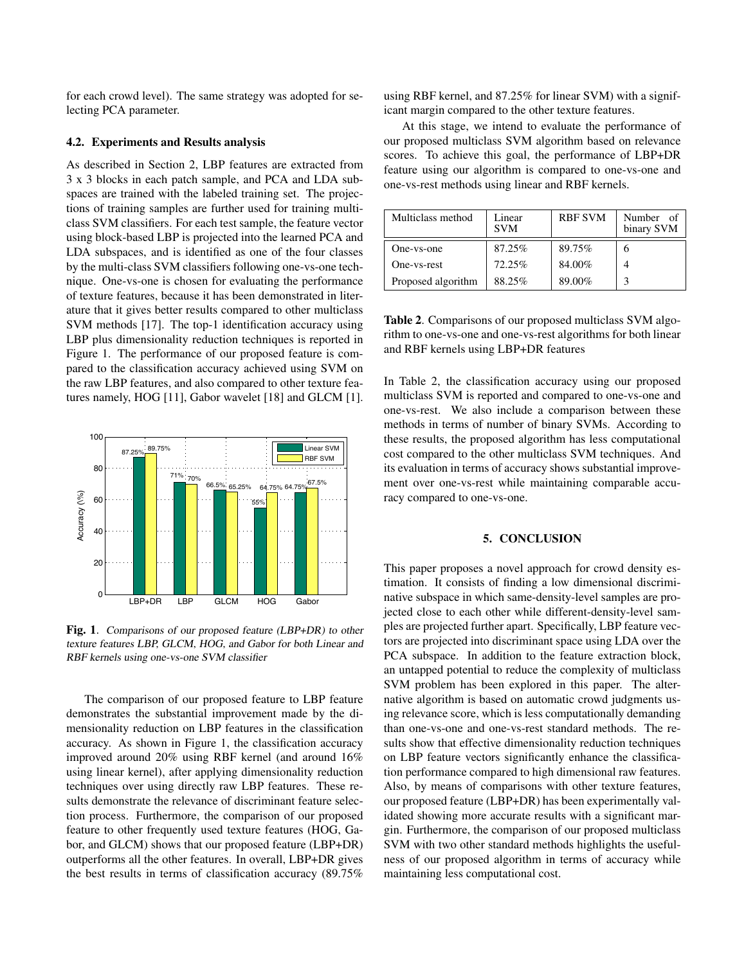for each crowd level). The same strategy was adopted for selecting PCA parameter.

## 4.2. Experiments and Results analysis

As described in Section 2, LBP features are extracted from 3 x 3 blocks in each patch sample, and PCA and LDA subspaces are trained with the labeled training set. The projections of training samples are further used for training multiclass SVM classifiers. For each test sample, the feature vector using block-based LBP is projected into the learned PCA and LDA subspaces, and is identified as one of the four classes by the multi-class SVM classifiers following one-vs-one technique. One-vs-one is chosen for evaluating the performance of texture features, because it has been demonstrated in literature that it gives better results compared to other multiclass SVM methods [17]. The top-1 identification accuracy using LBP plus dimensionality reduction techniques is reported in Figure 1. The performance of our proposed feature is compared to the classification accuracy achieved using SVM on the raw LBP features, and also compared to other texture features namely, HOG [11], Gabor wavelet [18] and GLCM [1].



Fig. 1. Comparisons of our proposed feature (LBP+DR) to other texture features LBP, GLCM, HOG, and Gabor for both Linear and RBF kernels using one-vs-one SVM classifier

The comparison of our proposed feature to LBP feature demonstrates the substantial improvement made by the dimensionality reduction on LBP features in the classification accuracy. As shown in Figure 1, the classification accuracy improved around 20% using RBF kernel (and around 16% using linear kernel), after applying dimensionality reduction techniques over using directly raw LBP features. These results demonstrate the relevance of discriminant feature selection process. Furthermore, the comparison of our proposed feature to other frequently used texture features (HOG, Gabor, and GLCM) shows that our proposed feature (LBP+DR) outperforms all the other features. In overall, LBP+DR gives the best results in terms of classification accuracy (89.75%

using RBF kernel, and 87.25% for linear SVM) with a significant margin compared to the other texture features.

At this stage, we intend to evaluate the performance of our proposed multiclass SVM algorithm based on relevance scores. To achieve this goal, the performance of LBP+DR feature using our algorithm is compared to one-vs-one and one-vs-rest methods using linear and RBF kernels.

| Multiclass method  | Linear<br><b>SVM</b> | <b>RBF SVM</b> | Number of<br>binary SVM |
|--------------------|----------------------|----------------|-------------------------|
| One-vs-one         | 87.25%               | 89.75%         | h                       |
| One-vs-rest        | 72.25%               | 84.00%         |                         |
| Proposed algorithm | 88.25%               | 89.00%         |                         |

Table 2. Comparisons of our proposed multiclass SVM algorithm to one-vs-one and one-vs-rest algorithms for both linear and RBF kernels using LBP+DR features

In Table 2, the classification accuracy using our proposed multiclass SVM is reported and compared to one-vs-one and one-vs-rest. We also include a comparison between these methods in terms of number of binary SVMs. According to these results, the proposed algorithm has less computational cost compared to the other multiclass SVM techniques. And its evaluation in terms of accuracy shows substantial improvement over one-vs-rest while maintaining comparable accuracy compared to one-vs-one.

# 5. CONCLUSION

This paper proposes a novel approach for crowd density estimation. It consists of finding a low dimensional discriminative subspace in which same-density-level samples are projected close to each other while different-density-level samples are projected further apart. Specifically, LBP feature vectors are projected into discriminant space using LDA over the PCA subspace. In addition to the feature extraction block, an untapped potential to reduce the complexity of multiclass SVM problem has been explored in this paper. The alternative algorithm is based on automatic crowd judgments using relevance score, which is less computationally demanding than one-vs-one and one-vs-rest standard methods. The results show that effective dimensionality reduction techniques on LBP feature vectors significantly enhance the classification performance compared to high dimensional raw features. Also, by means of comparisons with other texture features, our proposed feature (LBP+DR) has been experimentally validated showing more accurate results with a significant margin. Furthermore, the comparison of our proposed multiclass SVM with two other standard methods highlights the usefulness of our proposed algorithm in terms of accuracy while maintaining less computational cost.